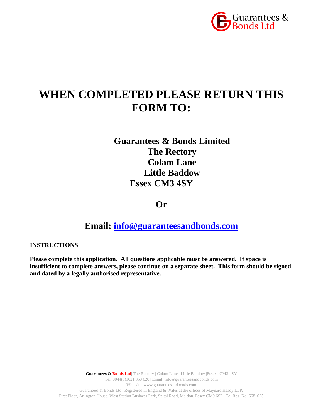

# **WHEN COMPLETED PLEASE RETURN THIS FORM TO:**

**Guarantees & Bonds Limited The Rectory Colam Lane Little Baddow Essex CM3 4SY**

**Or**

**Email: [info@guaranteesandbonds.com](mailto:info@guaranteesandbonds.com)**

**INSTRUCTIONS**

**Please complete this application. All questions applicable must be answered. If space is insufficient to complete answers, please continue on a separate sheet. This form should be signed and dated by a legally authorised representative.**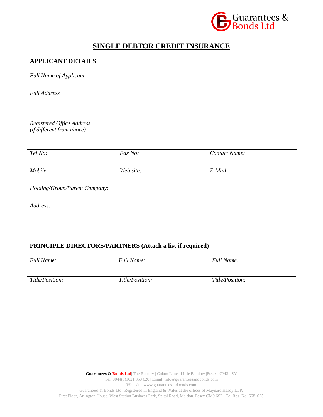

## **SINGLE DEBTOR CREDIT INSURANCE**

## **APPLICANT DETAILS**

| <b>Full Name of Applicant</b>                          |           |               |  |  |  |
|--------------------------------------------------------|-----------|---------------|--|--|--|
| <b>Full Address</b>                                    |           |               |  |  |  |
|                                                        |           |               |  |  |  |
| Registered Office Address<br>(if different from above) |           |               |  |  |  |
| Tel No:                                                | Fax No:   | Contact Name: |  |  |  |
| Mobile:                                                | Web site: | E-Mail:       |  |  |  |
| Holding/Group/Parent Company:                          |           |               |  |  |  |
| Address:                                               |           |               |  |  |  |
|                                                        |           |               |  |  |  |

## **PRINCIPLE DIRECTORS/PARTNERS (Attach a list if required)**

| <b>Full Name:</b> | <b>Full Name:</b> | <b>Full Name:</b> |
|-------------------|-------------------|-------------------|
|                   |                   |                   |
| Title/Position:   | Title/Position:   | Title/Position:   |
|                   |                   |                   |
|                   |                   |                   |
|                   |                   |                   |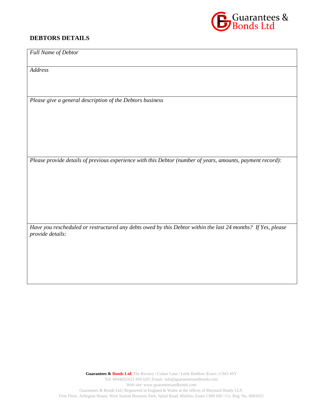## **DEBTORS DETAILS**



*Full Name of Debtor*

*Address*

*Please give a general description of the Debtors business*

*Please provide details of previous experience with this Debtor (number of years, amounts, payment record):*

*Have you rescheduled or restructured any debts owed by this Debtor within the last 24 months? If Yes, please provide details:*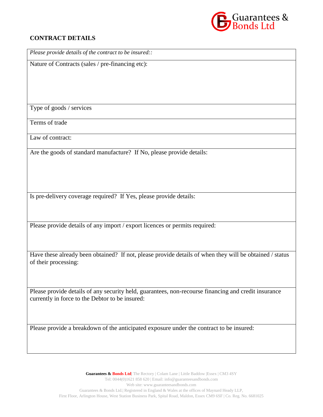

## **CONTRACT DETAILS**

| Please provide details of the contract to be insured::                                                                          |
|---------------------------------------------------------------------------------------------------------------------------------|
| Nature of Contracts (sales / pre-financing etc):                                                                                |
|                                                                                                                                 |
|                                                                                                                                 |
|                                                                                                                                 |
| Type of goods / services                                                                                                        |
|                                                                                                                                 |
| Terms of trade                                                                                                                  |
| Law of contract:                                                                                                                |
| Are the goods of standard manufacture? If No, please provide details:                                                           |
|                                                                                                                                 |
|                                                                                                                                 |
|                                                                                                                                 |
| Is pre-delivery coverage required? If Yes, please provide details:                                                              |
|                                                                                                                                 |
|                                                                                                                                 |
|                                                                                                                                 |
| Please provide details of any import / export licences or permits required:                                                     |
|                                                                                                                                 |
|                                                                                                                                 |
| Have these already been obtained? If not, please provide details of when they will be obtained / status<br>of their processing: |
|                                                                                                                                 |
|                                                                                                                                 |
| Please provide details of any security held, guarantees, non-recourse financing and credit insurance                            |
| currently in force to the Debtor to be insured:                                                                                 |

Please provide a breakdown of the anticipated exposure under the contract to be insured: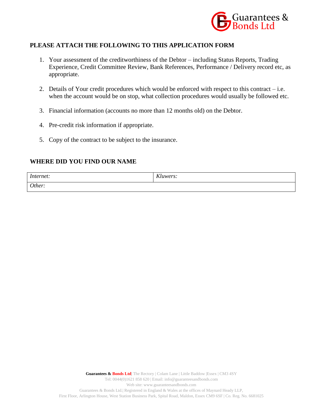

## **PLEASE ATTACH THE FOLLOWING TO THIS APPLICATION FORM**

- 1. Your assessment of the creditworthiness of the Debtor including Status Reports, Trading Experience, Credit Committee Review, Bank References, Performance / Delivery record etc, as appropriate.
- 2. Details of Your credit procedures which would be enforced with respect to this contract i.e. when the account would be on stop, what collection procedures would usually be followed etc.
- 3. Financial information (accounts no more than 12 months old) on the Debtor.
- 4. Pre-credit risk information if appropriate.
- 5. Copy of the contract to be subject to the insurance.

### **WHERE DID YOU FIND OUR NAME**

| Internet: | LZL<br>Kluwers: |
|-----------|-----------------|
| Other:    |                 |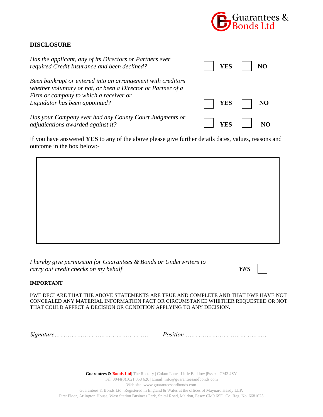

## **DISCLOSURE**

| Has the applicant, any of its Directors or Partners ever<br>required Credit Insurance and been declined?                                                                                                |                     | YES     NO   |
|---------------------------------------------------------------------------------------------------------------------------------------------------------------------------------------------------------|---------------------|--------------|
| Been bankrupt or entered into an arrangement with creditors<br>whether voluntary or not, or been a Director or Partner of a<br>Firm or company to which a receiver or<br>Liquidator has been appointed? | $ $   YES $\Box$ NO |              |
| Has your Company ever had any County Court Judgments or<br>adjudications awarded against it?                                                                                                            |                     | $YES$     NO |

If you have answered **YES** to any of the above please give further details dates, values, reasons and outcome in the box below:-

*I hereby give permission for Guarantees & Bonds or Underwriters to carry out credit checks on my behalf YES*

#### **IMPORTANT**

I/WE DECLARE THAT THE ABOVE STATEMENTS ARE TRUE AND COMPLETE AND THAT I/WE HAVE NOT CONCEALED ANY MATERIAL INFORMATION FACT OR CIRCUMSTANCE WHETHER REQUESTED OR NOT THAT COULD AFFECT A DECISION OR CONDITION APPLYING TO ANY DECISION.

*Signature…………………………………………… Position………………………………………*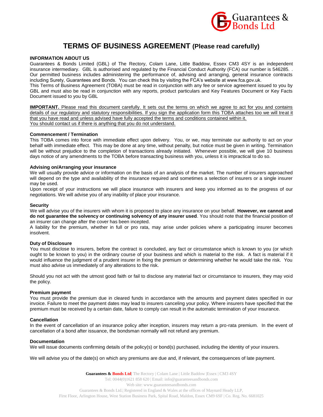

## **TERMS OF BUSINESS AGREEMENT (Please read carefully)**

#### **INFORMATION ABOUT US**

Guarantees & Bonds Limited (GBL) of The Rectory, Colam Lane, Little Baddow, Essex CM3 4SY is an independent insurance intermediary. GBL is authorised and regulated by the Financial Conduct Authority (FCA) our number is 546285. . Our permitted business includes administering the performance of, advising and arranging, general insurance contracts including Surety, Guarantees and Bonds. You can check this by visiting the FCA's website at www.fca.gov.uk. This Terms of Business Agreement (TOBA) must be read in conjunction with any fee or service agreement issued to you by

GBL and must also be read in conjunction with any reports, product particulars and Key Features Document or Key Facts Document issued to you by GBL

**IMPORTANT.** Please read this document carefully. It sets out the terms on which we agree to act for you and contains details of our regulatory and statutory responsibilities. If you sign the application form this TOBA attaches too we will treat it that you have read and unless advised have fully accepted the terms and conditions contained within it. You should contact us if there is anything that you do not understand.

#### **Commencement / Termination**

This TOBA comes into force with immediate effect upon delivery. You, or we, may terminate our authority to act on your behalf with immediate effect. This may be done at any time, without penalty, but notice must be given in writing. Termination will be without prejudice to the completion of transactions already initiated. Whenever possible, we will give 10 business days notice of any amendments to the TOBA before transacting business with you, unless it is impractical to do so.

#### **Advising on/Arranging your insurance**

We will usually provide advice or information on the basis of an analysis of the market. The number of insurers approached will depend on the type and availability of the insurance required and sometimes a selection of insurers or a single insurer may be used.

Upon receipt of your instructions we will place insurance with insurers and keep you informed as to the progress of our negotiations. We will advise you of any inability of place your insurance.

#### **Security**

We will advise you of the insurers with whom it is proposed to place any insurance on your behalf. **However, we cannot and do not guarantee the solvency or continuing solvency of any insurer used**. You should note that the financial position of an insurer can change after the cover has been incepted.

A liability for the premium, whether in full or pro rata, may arise under policies where a participating insurer becomes insolvent.

#### **Duty of Disclosure**

You must disclose to insurers, before the contract is concluded, any fact or circumstance which is known to you (or which ought to be known to you) in the ordinary course of your business and which is material to the risk. A fact is material if it would influence the judgment of a prudent insurer in fixing the premium or determining whether he would take the risk. You must also advise us immediately of any alterations to the risk.

Should you not act with the utmost good faith or fail to disclose any material fact or circumstance to insurers, they may void the policy.

#### **Premium payment**

You must provide the premium due in cleared funds in accordance with the amounts and payment dates specified in our invoice. Failure to meet the payment dates may lead to insurers canceling your policy. Where insurers have specified that the premium must be received by a certain date, failure to comply can result in the automatic termination of your insurance.

#### **Cancellation**

In the event of cancellation of an insurance policy after inception, insurers may return a pro-rata premium. In the event of cancellation of a bond after issuance, the bondsman normally will not refund any premium.

#### **Documentation**

We will issue documents confirming details of the policy(s) or bond(s) purchased, including the identity of your insurers.

We will advise you of the date(s) on which any premiums are due and, if relevant, the consequences of late payment.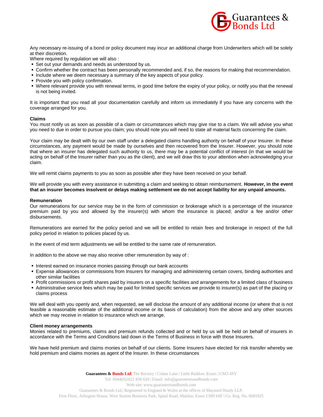

Any necessary re-issuing of a bond or policy document may incur an additional charge from Underwriters which will be solely at their discretion.

Where required by regulation we will also :

- Set out your demands and needs as understood by us.
- Confirm whether the contract has been personally recommended and, if so, the reasons for making that recommendation.
- Include where we deem necessary a summary of the key aspects of your policy.
- **Provide you with policy confirmation.**
- Where relevant provide you with renewal terms, in good time before the expiry of your policy, or notify you that the renewal is not being invited.

It is important that you read all your documentation carefully and inform us immediately if you have any concerns with the coverage arranged for you.

#### **Claims**

You must notify us as soon as possible of a claim or circumstances which may give rise to a claim. We will advise you what you need to due in order to pursue you claim; you should note you will need to state all material facts concerning the claim.

Your claim may be dealt with by our own staff under a delegated claims handling authority on behalf of your Insurer. In these circumstances, any payment would be made by ourselves and then recovered from the Insurer. However, you should note that where an insurer has delegated such authority to us, there may be a potential conflict of interest (in that we would be acting on behalf of the Insurer rather than you as the client), and we will draw this to your attention when acknowledging your claim.

We will remit claims payments to you as soon as possible after they have been received on your behalf.

We will provide you with every assistance in submitting a claim and seeking to obtain reimbursement. **However, in the event that an insurer becomes insolvent or delays making settlement we do not accept liability for any unpaid amounts.**

#### **Remuneration**

Our remunerations for our service may be in the form of commission or brokerage which is a percentage of the insurance premium paid by you and allowed by the insurer(s) with whom the insurance is placed; and/or a fee and/or other disbursements.

Remunerations are earned for the policy period and we will be entitled to retain fees and brokerage in respect of the full policy period in relation to policies placed by us.

In the event of mid term adjustments we will be entitled to the same rate of remuneration.

In addition to the above we may also receive other remuneration by way of :

- **Interest earned on insurance monies passing through our bank accounts**
- Expense allowances or commissions from Insurers for managing and administering certain covers, binding authorities and other similar facilities
- Profit commissions or profit shares paid by insurers on a specific facilities and arrangements for a limited class of business
- Administrative service fees which may be paid for limited specific services we provide to insurer(s) as part of the placing or claims process

We will deal with you openly and, when requested, we will disclose the amount of any additional income (or where that is not feasible a reasonable estimate of the additional income or its basis of calculation) from the above and any other sources which we may receive in relation to insurance which we arrange.

#### **Client money arrangements**

Monies related to premiums, claims and premium refunds collected and or held by us will be held on behalf of insurers in accordance with the Terms and Conditions laid down in the Terms of Business in force with those Insurers.

We have held premium and claims monies on behalf of our clients. Some Insurers have elected for risk transfer whereby we hold premium and claims monies as agent of the Insurer. In these circumstances